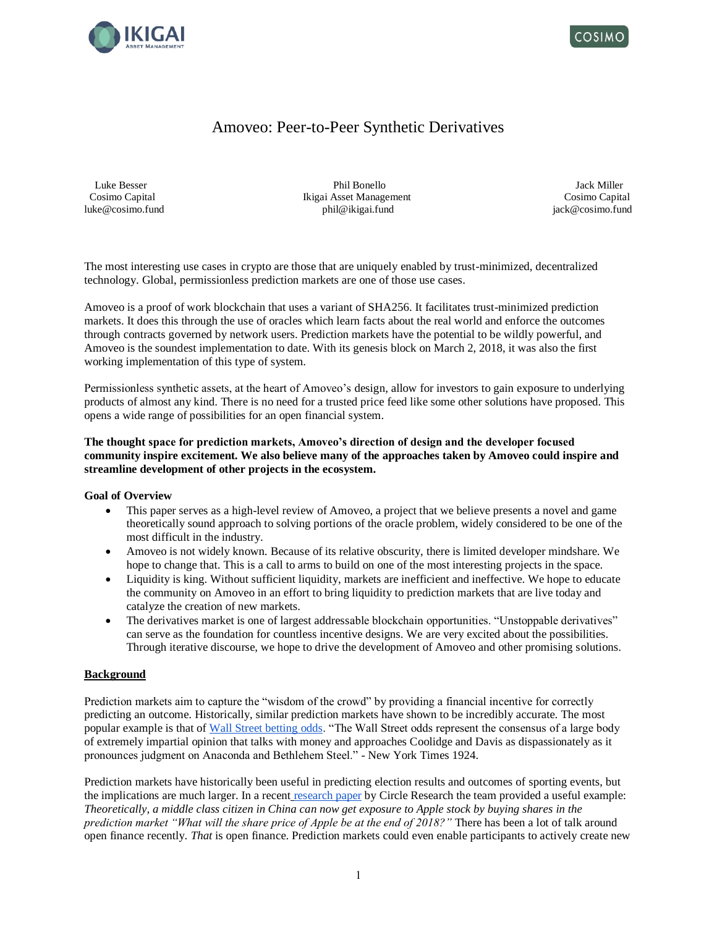



# Amoveo: Peer-to-Peer Synthetic Derivatives

 Luke Besser Phil Bonello Jack Miller Cosimo Capital Ikigai Asset Management Cosimo Capital luke@cosimo.fund **phil@ikigai.fund** phil@ikigai.fund in the philographic philographic philographic in the philographic in the philographic philographic in the philographic in the philographic in the philographic in the phi

The most interesting use cases in crypto are those that are uniquely enabled by trust-minimized, decentralized technology. Global, permissionless prediction markets are one of those use cases.

Amoveo is a proof of work blockchain that uses a variant of SHA256. It facilitates trust-minimized prediction markets. It does this through the use of oracles which learn facts about the real world and enforce the outcomes through contracts governed by network users. Prediction markets have the potential to be wildly powerful, and Amoveo is the soundest implementation to date. With its genesis block on March 2, 2018, it was also the first working implementation of this type of system.

Permissionless synthetic assets, at the heart of Amoveo's design, allow for investors to gain exposure to underlying products of almost any kind. There is no need for a trusted price feed like some other solutions have proposed. This opens a wide range of possibilities for an open financial system.

**The thought space for prediction markets, Amoveo's direction of design and the developer focused community inspire excitement. We also believe many of the approaches taken by Amoveo could inspire and streamline development of other projects in the ecosystem.**

### **Goal of Overview**

- This paper serves as a high-level review of Amoveo, a project that we believe presents a novel and game theoretically sound approach to solving portions of the oracle problem, widely considered to be one of the most difficult in the industry.
- Amoveo is not widely known. Because of its relative obscurity, there is limited developer mindshare. We hope to change that. This is a call to arms to build on one of the most interesting projects in the space.
- Liquidity is king. Without sufficient liquidity, markets are inefficient and ineffective. We hope to educate the community on Amoveo in an effort to bring liquidity to prediction markets that are live today and catalyze the creation of new markets.
- The derivatives market is one of largest addressable blockchain opportunities. "Unstoppable derivatives" can serve as the foundation for countless incentive designs. We are very excited about the possibilities. Through iterative discourse, we hope to drive the development of Amoveo and other promising solutions.

### **Background**

Prediction markets aim to capture the "wisdom of the crowd" by providing a financial incentive for correctly predicting an outcome. Historically, similar prediction markets have shown to be incredibly accurate. The most popular example is that of [Wall Street betting odds.](http://www.uvm.edu/~awoolf/classes/fall2004/election/Historical_Presidential_Betting_Markets.pdf) "The Wall Street odds represent the consensus of a large body of extremely impartial opinion that talks with money and approaches Coolidge and Davis as dispassionately as it pronounces judgment on Anaconda and Bethlehem Steel." - New York Times 1924.

Prediction markets have historically been useful in predicting election results and outcomes of sporting events, but the implications are much larger. In a recent [research paper](https://www.circle.com/en/research/prediction-markets) by Circle Research the team provided a useful example: *Theoretically, a middle class citizen in China can now get exposure to Apple stock by buying shares in the prediction market "What will the share price of Apple be at the end of 2018?"* There has been a lot of talk around open finance recently. *That* is open finance. Prediction markets could even enable participants to actively create new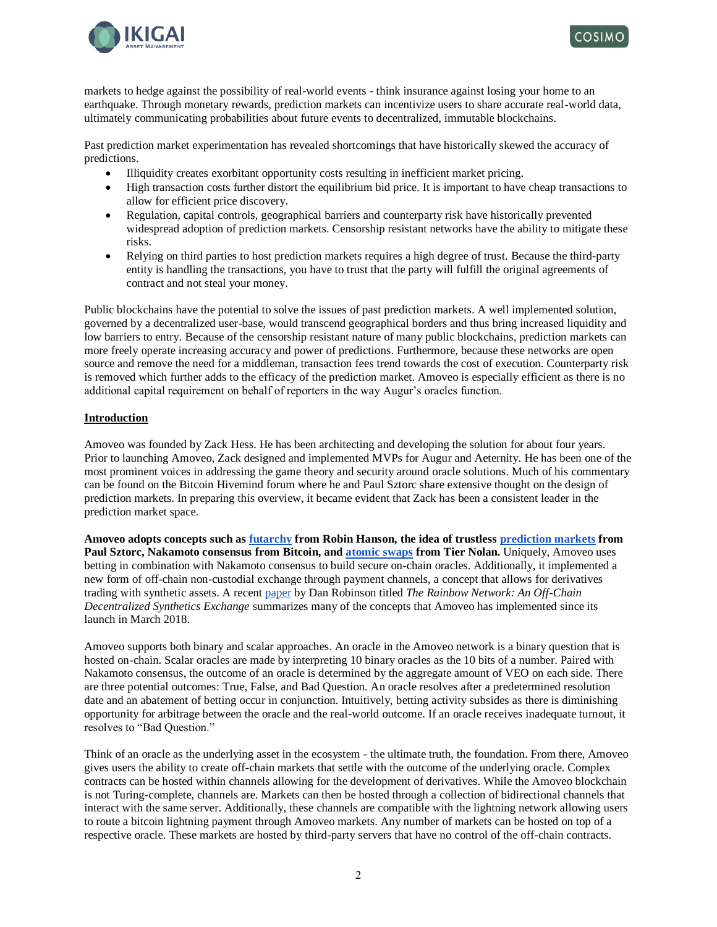



markets to hedge against the possibility of real-world events - think insurance against losing your home to an earthquake. Through monetary rewards, prediction markets can incentivize users to share accurate real-world data, ultimately communicating probabilities about future events to decentralized, immutable blockchains.

Past prediction market experimentation has revealed shortcomings that have historically skewed the accuracy of predictions.

- Illiquidity creates exorbitant opportunity costs resulting in inefficient market pricing.
- High transaction costs further distort the equilibrium bid price. It is important to have cheap transactions to allow for efficient price discovery.
- Regulation, capital controls, geographical barriers and counterparty risk have historically prevented widespread adoption of prediction markets. Censorship resistant networks have the ability to mitigate these risks.
- Relying on third parties to host prediction markets requires a high degree of trust. Because the third-party entity is handling the transactions, you have to trust that the party will fulfill the original agreements of contract and not steal your money.

Public blockchains have the potential to solve the issues of past prediction markets. A well implemented solution, governed by a decentralized user-base, would transcend geographical borders and thus bring increased liquidity and low barriers to entry. Because of the censorship resistant nature of many public blockchains, prediction markets can more freely operate increasing accuracy and power of predictions. Furthermore, because these networks are open source and remove the need for a middleman, transaction fees trend towards the cost of execution. Counterparty risk is removed which further adds to the efficacy of the prediction market. Amoveo is especially efficient as there is no additional capital requirement on behalf of reporters in the way Augur's oracles function.

## **Introduction**

Amoveo was founded by Zack Hess. He has been architecting and developing the solution for about four years. Prior to launching Amoveo, Zack designed and implemented MVPs for Augur and Aeternity. He has been one of the most prominent voices in addressing the game theory and security around oracle solutions. Much of his commentary can be found on the Bitcoin Hivemind forum where he and Paul Sztorc share extensive thought on the design of prediction markets. In preparing this overview, it became evident that Zack has been a consistent leader in the prediction market space.

**Amoveo adopts concepts such as [futarchy](http://mason.gmu.edu/~rhanson/futarchy.html) from Robin Hanson, the idea of trustless [prediction markets](http://bitcoinhivemind.com/) from Paul Sztorc, Nakamoto consensus from Bitcoin, and [atomic swaps](https://bitcointalk.org/index.php?topic=193281.msg2224949#msg2224949) from Tier Nolan.** Uniquely, Amoveo uses betting in combination with Nakamoto consensus to build secure on-chain oracles. Additionally, it implemented a new form of off-chain non-custodial exchange through payment channels, a concept that allows for derivatives trading with synthetic assets. A recent [paper](https://rainbownet.work/RainbowNetwork.pdf) by Dan Robinson titled *The Rainbow Network: An Off-Chain Decentralized Synthetics Exchange* summarizes many of the concepts that Amoveo has implemented since its launch in March 2018.

Amoveo supports both binary and scalar approaches. An oracle in the Amoveo network is a binary question that is hosted on-chain. Scalar oracles are made by interpreting 10 binary oracles as the 10 bits of a number. Paired with Nakamoto consensus, the outcome of an oracle is determined by the aggregate amount of VEO on each side. There are three potential outcomes: True, False, and Bad Question. An oracle resolves after a predetermined resolution date and an abatement of betting occur in conjunction. Intuitively, betting activity subsides as there is diminishing opportunity for arbitrage between the oracle and the real-world outcome. If an oracle receives inadequate turnout, it resolves to "Bad Question."

Think of an oracle as the underlying asset in the ecosystem - the ultimate truth, the foundation. From there, Amoveo gives users the ability to create off-chain markets that settle with the outcome of the underlying oracle. Complex contracts can be hosted within channels allowing for the development of derivatives. While the Amoveo blockchain is not Turing-complete, channels are. Markets can then be hosted through a collection of bidirectional channels that interact with the same server. Additionally, these channels are compatible with the lightning network allowing users to route a bitcoin lightning payment through Amoveo markets. Any number of markets can be hosted on top of a respective oracle. These markets are hosted by third-party servers that have no control of the off-chain contracts.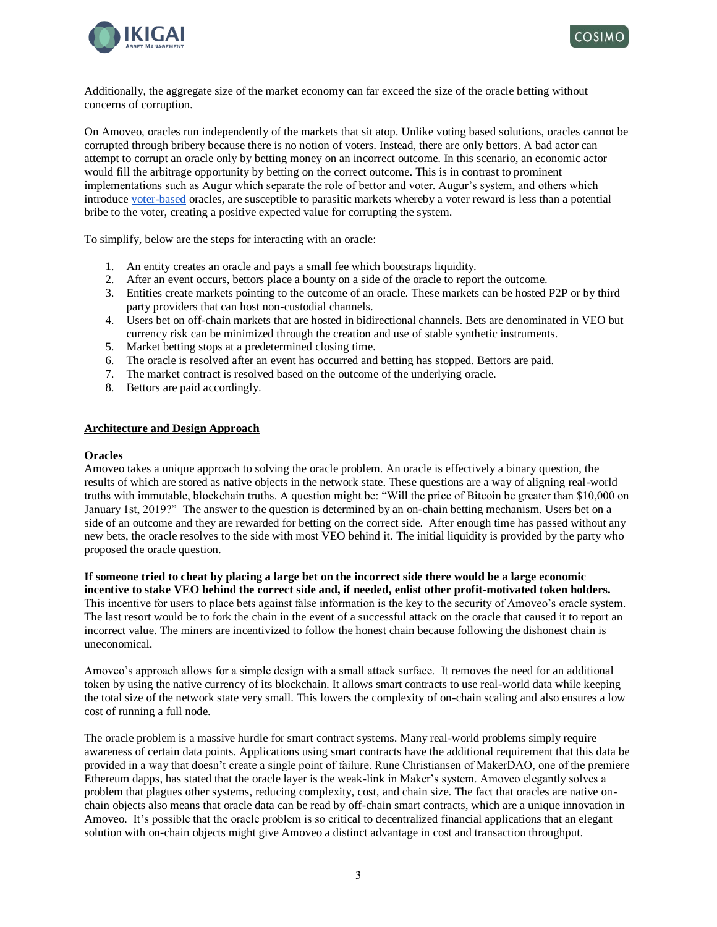



Additionally, the aggregate size of the market economy can far exceed the size of the oracle betting without concerns of corruption.

On Amoveo, oracles run independently of the markets that sit atop. Unlike voting based solutions, oracles cannot be corrupted through bribery because there is no notion of voters. Instead, there are only bettors. A bad actor can attempt to corrupt an oracle only by betting money on an incorrect outcome. In this scenario, an economic actor would fill the arbitrage opportunity by betting on the correct outcome. This is in contrast to prominent implementations such as Augur which separate the role of bettor and voter. Augur's system, and others which introduce [voter-based](https://github.com/zack-bitcoin/amoveo/blob/master/docs/design/oracle_motivations.md) oracles, are susceptible to parasitic markets whereby a voter reward is less than a potential bribe to the voter, creating a positive expected value for corrupting the system.

To simplify, below are the steps for interacting with an oracle:

- 1. An entity creates an oracle and pays a small fee which bootstraps liquidity.
- 2. After an event occurs, bettors place a bounty on a side of the oracle to report the outcome.
- 3. Entities create markets pointing to the outcome of an oracle. These markets can be hosted P2P or by third party providers that can host non-custodial channels.
- 4. Users bet on off-chain markets that are hosted in bidirectional channels. Bets are denominated in VEO but currency risk can be minimized through the creation and use of stable synthetic instruments.
- 5. Market betting stops at a predetermined closing time.
- 6. The oracle is resolved after an event has occurred and betting has stopped. Bettors are paid.
- 7. The market contract is resolved based on the outcome of the underlying oracle.
- 8. Bettors are paid accordingly.

### **Architecture and Design Approach**

### **Oracles**

Amoveo takes a unique approach to solving the oracle problem. An oracle is effectively a binary question, the results of which are stored as native objects in the network state. These questions are a way of aligning real-world truths with immutable, blockchain truths. A question might be: "Will the price of Bitcoin be greater than \$10,000 on January 1st, 2019?" The answer to the question is determined by an on-chain betting mechanism. Users bet on a side of an outcome and they are rewarded for betting on the correct side. After enough time has passed without any new bets, the oracle resolves to the side with most VEO behind it. The initial liquidity is provided by the party who proposed the oracle question.

#### **If someone tried to cheat by placing a large bet on the incorrect side there would be a large economic incentive to stake VEO behind the correct side and, if needed, enlist other profit-motivated token holders.**

This incentive for users to place bets against false information is the key to the security of Amoveo's oracle system. The last resort would be to fork the chain in the event of a successful attack on the oracle that caused it to report an incorrect value. The miners are incentivized to follow the honest chain because following the dishonest chain is uneconomical.

Amoveo's approach allows for a simple design with a small attack surface. It removes the need for an additional token by using the native currency of its blockchain. It allows smart contracts to use real-world data while keeping the total size of the network state very small. This lowers the complexity of on-chain scaling and also ensures a low cost of running a full node.

The oracle problem is a massive hurdle for smart contract systems. Many real-world problems simply require awareness of certain data points. Applications using smart contracts have the additional requirement that this data be provided in a way that doesn't create a single point of failure. Rune Christiansen of MakerDAO, one of the premiere Ethereum dapps, has stated that the oracle layer is the weak-link in Maker's system. Amoveo elegantly solves a problem that plagues other systems, reducing complexity, cost, and chain size. The fact that oracles are native onchain objects also means that oracle data can be read by off-chain smart contracts, which are a unique innovation in Amoveo. It's possible that the oracle problem is so critical to decentralized financial applications that an elegant solution with on-chain objects might give Amoveo a distinct advantage in cost and transaction throughput.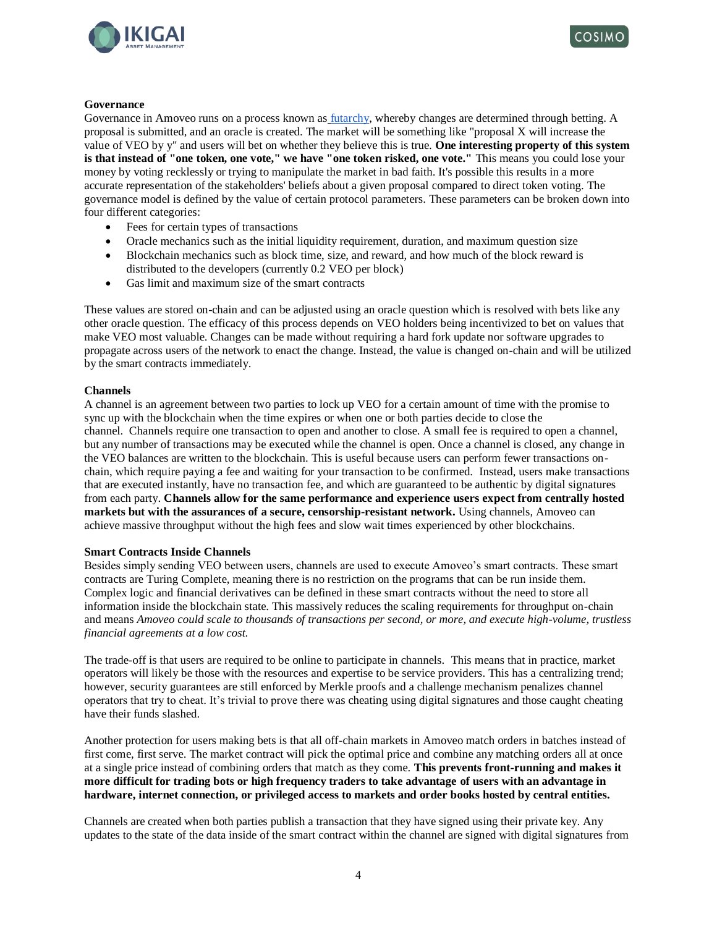



### **Governance**

Governance in Amoveo runs on a process known as [futarchy,](https://medium.com/alpineintel/on-governance-futarchy-6a6fa2c012b) whereby changes are determined through betting. A proposal is submitted, and an oracle is created. The market will be something like "proposal X will increase the value of VEO by y" and users will bet on whether they believe this is true. **One interesting property of this system is that instead of "one token, one vote," we have "one token risked, one vote."** This means you could lose your money by voting recklessly or trying to manipulate the market in bad faith. It's possible this results in a more accurate representation of the stakeholders' beliefs about a given proposal compared to direct token voting. The governance model is defined by the value of certain protocol parameters. These parameters can be broken down into four different categories:

- Fees for certain types of transactions
- Oracle mechanics such as the initial liquidity requirement, duration, and maximum question size
- Blockchain mechanics such as block time, size, and reward, and how much of the block reward is distributed to the developers (currently 0.2 VEO per block)
- Gas limit and maximum size of the smart contracts

These values are stored on-chain and can be adjusted using an oracle question which is resolved with bets like any other oracle question. The efficacy of this process depends on VEO holders being incentivized to bet on values that make VEO most valuable. Changes can be made without requiring a hard fork update nor software upgrades to propagate across users of the network to enact the change. Instead, the value is changed on-chain and will be utilized by the smart contracts immediately.

### **Channels**

A channel is an agreement between two parties to lock up VEO for a certain amount of time with the promise to sync up with the blockchain when the time expires or when one or both parties decide to close the channel. Channels require one transaction to open and another to close. A small fee is required to open a channel, but any number of transactions may be executed while the channel is open. Once a channel is closed, any change in the VEO balances are written to the blockchain. This is useful because users can perform fewer transactions onchain, which require paying a fee and waiting for your transaction to be confirmed. Instead, users make transactions that are executed instantly, have no transaction fee, and which are guaranteed to be authentic by digital signatures from each party. **Channels allow for the same performance and experience users expect from centrally hosted markets but with the assurances of a secure, censorship-resistant network.** Using channels, Amoveo can achieve massive throughput without the high fees and slow wait times experienced by other blockchains.

### **Smart Contracts Inside Channels**

Besides simply sending VEO between users, channels are used to execute Amoveo's smart contracts. These smart contracts are Turing Complete, meaning there is no restriction on the programs that can be run inside them. Complex logic and financial derivatives can be defined in these smart contracts without the need to store all information inside the blockchain state. This massively reduces the scaling requirements for throughput on-chain and means *Amoveo could scale to thousands of transactions per second, or more, and execute high-volume, trustless financial agreements at a low cost.*

The trade-off is that users are required to be online to participate in channels. This means that in practice, market operators will likely be those with the resources and expertise to be service providers. This has a centralizing trend; however, security guarantees are still enforced by Merkle proofs and a challenge mechanism penalizes channel operators that try to cheat. It's trivial to prove there was cheating using digital signatures and those caught cheating have their funds slashed.

Another protection for users making bets is that all off-chain markets in Amoveo match orders in batches instead of first come, first serve. The market contract will pick the optimal price and combine any matching orders all at once at a single price instead of combining orders that match as they come. **This prevents front-running and makes it more difficult for trading bots or high frequency traders to take advantage of users with an advantage in hardware, internet connection, or privileged access to markets and order books hosted by central entities.**

Channels are created when both parties publish a transaction that they have signed using their private key. Any updates to the state of the data inside of the smart contract within the channel are signed with digital signatures from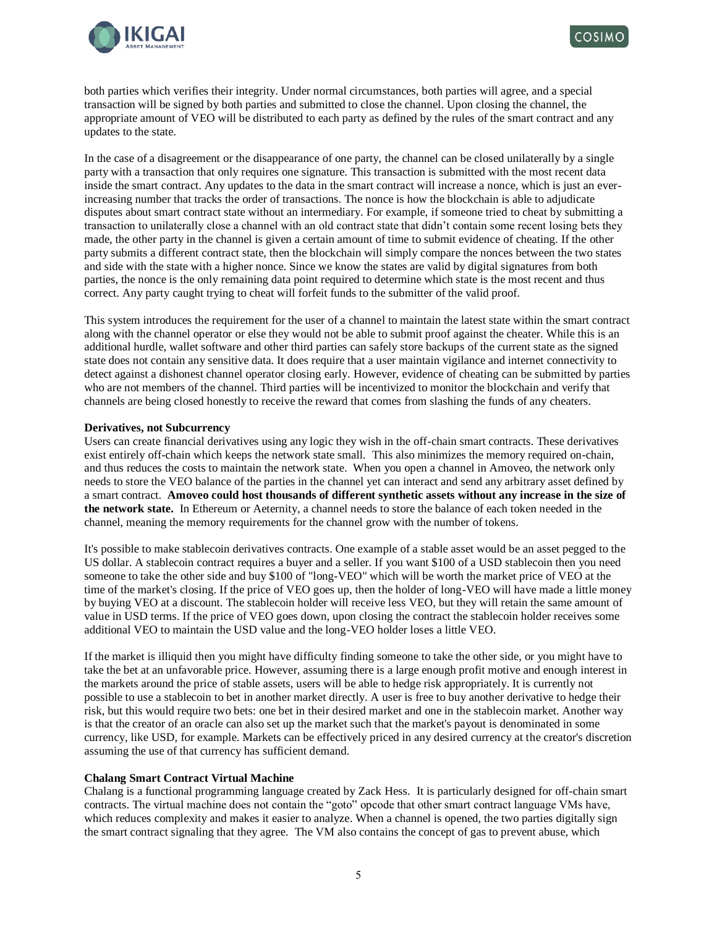



both parties which verifies their integrity. Under normal circumstances, both parties will agree, and a special transaction will be signed by both parties and submitted to close the channel. Upon closing the channel, the appropriate amount of VEO will be distributed to each party as defined by the rules of the smart contract and any updates to the state.

In the case of a disagreement or the disappearance of one party, the channel can be closed unilaterally by a single party with a transaction that only requires one signature. This transaction is submitted with the most recent data inside the smart contract. Any updates to the data in the smart contract will increase a nonce, which is just an everincreasing number that tracks the order of transactions. The nonce is how the blockchain is able to adjudicate disputes about smart contract state without an intermediary. For example, if someone tried to cheat by submitting a transaction to unilaterally close a channel with an old contract state that didn't contain some recent losing bets they made, the other party in the channel is given a certain amount of time to submit evidence of cheating. If the other party submits a different contract state, then the blockchain will simply compare the nonces between the two states and side with the state with a higher nonce. Since we know the states are valid by digital signatures from both parties, the nonce is the only remaining data point required to determine which state is the most recent and thus correct. Any party caught trying to cheat will forfeit funds to the submitter of the valid proof.

This system introduces the requirement for the user of a channel to maintain the latest state within the smart contract along with the channel operator or else they would not be able to submit proof against the cheater. While this is an additional hurdle, wallet software and other third parties can safely store backups of the current state as the signed state does not contain any sensitive data. It does require that a user maintain vigilance and internet connectivity to detect against a dishonest channel operator closing early. However, evidence of cheating can be submitted by parties who are not members of the channel. Third parties will be incentivized to monitor the blockchain and verify that channels are being closed honestly to receive the reward that comes from slashing the funds of any cheaters.

### **Derivatives, not Subcurrency**

Users can create financial derivatives using any logic they wish in the off-chain smart contracts. These derivatives exist entirely off-chain which keeps the network state small. This also minimizes the memory required on-chain, and thus reduces the costs to maintain the network state. When you open a channel in Amoveo, the network only needs to store the VEO balance of the parties in the channel yet can interact and send any arbitrary asset defined by a smart contract. **Amoveo could host thousands of different synthetic assets without any increase in the size of the network state.** In Ethereum or Aeternity, a channel needs to store the balance of each token needed in the channel, meaning the memory requirements for the channel grow with the number of tokens.

It's possible to make stablecoin derivatives contracts. One example of a stable asset would be an asset pegged to the US dollar. A stablecoin contract requires a buyer and a seller. If you want \$100 of a USD stablecoin then you need someone to take the other side and buy \$100 of "long-VEO" which will be worth the market price of VEO at the time of the market's closing. If the price of VEO goes up, then the holder of long-VEO will have made a little money by buying VEO at a discount. The stablecoin holder will receive less VEO, but they will retain the same amount of value in USD terms. If the price of VEO goes down, upon closing the contract the stablecoin holder receives some additional VEO to maintain the USD value and the long-VEO holder loses a little VEO.

If the market is illiquid then you might have difficulty finding someone to take the other side, or you might have to take the bet at an unfavorable price. However, assuming there is a large enough profit motive and enough interest in the markets around the price of stable assets, users will be able to hedge risk appropriately. It is currently not possible to use a stablecoin to bet in another market directly. A user is free to buy another derivative to hedge their risk, but this would require two bets: one bet in their desired market and one in the stablecoin market. Another way is that the creator of an oracle can also set up the market such that the market's payout is denominated in some currency, like USD, for example. Markets can be effectively priced in any desired currency at the creator's discretion assuming the use of that currency has sufficient demand.

### **Chalang Smart Contract Virtual Machine**

Chalang is a functional programming language created by Zack Hess. It is particularly designed for off-chain smart contracts. The virtual machine does not contain the "goto" opcode that other smart contract language VMs have, which reduces complexity and makes it easier to analyze. When a channel is opened, the two parties digitally sign the smart contract signaling that they agree. The VM also contains the concept of gas to prevent abuse, which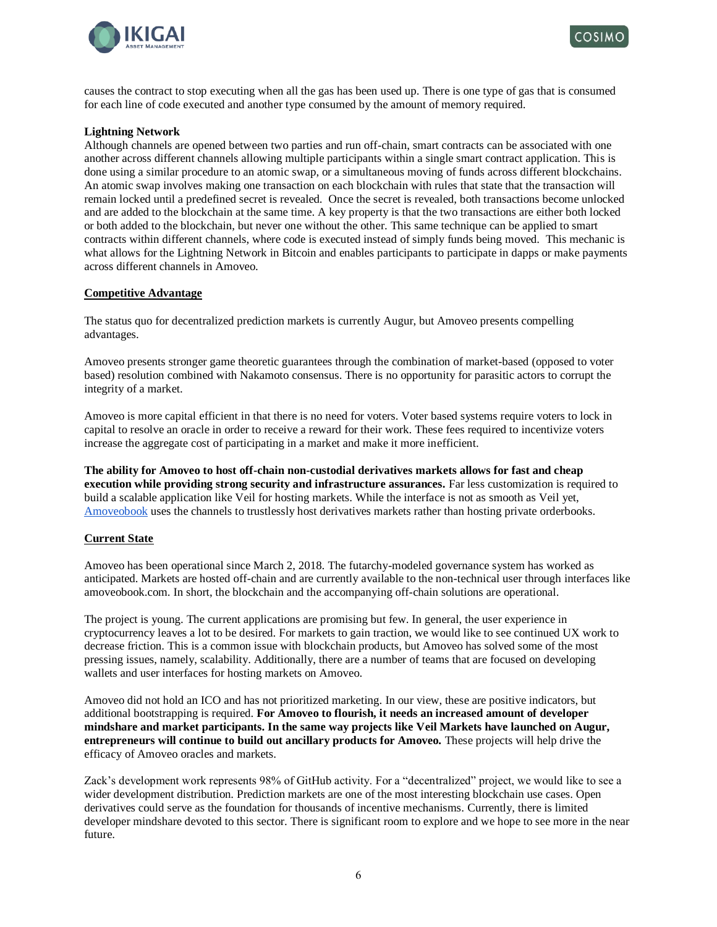



causes the contract to stop executing when all the gas has been used up. There is one type of gas that is consumed for each line of code executed and another type consumed by the amount of memory required.

## **Lightning Network**

Although channels are opened between two parties and run off-chain, smart contracts can be associated with one another across different channels allowing multiple participants within a single smart contract application. This is done using a similar procedure to an atomic swap, or a simultaneous moving of funds across different blockchains. An atomic swap involves making one transaction on each blockchain with rules that state that the transaction will remain locked until a predefined secret is revealed. Once the secret is revealed, both transactions become unlocked and are added to the blockchain at the same time. A key property is that the two transactions are either both locked or both added to the blockchain, but never one without the other. This same technique can be applied to smart contracts within different channels, where code is executed instead of simply funds being moved. This mechanic is what allows for the Lightning Network in Bitcoin and enables participants to participate in dapps or make payments across different channels in Amoveo.

### **Competitive Advantage**

The status quo for decentralized prediction markets is currently Augur, but Amoveo presents compelling advantages.

Amoveo presents stronger game theoretic guarantees through the combination of market-based (opposed to voter based) resolution combined with Nakamoto consensus. There is no opportunity for parasitic actors to corrupt the integrity of a market.

Amoveo is more capital efficient in that there is no need for voters. Voter based systems require voters to lock in capital to resolve an oracle in order to receive a reward for their work. These fees required to incentivize voters increase the aggregate cost of participating in a market and make it more inefficient.

**The ability for Amoveo to host off-chain non-custodial derivatives markets allows for fast and cheap execution while providing strong security and infrastructure assurances.** Far less customization is required to build a scalable application like Veil for hosting markets. While the interface is not as smooth as Veil yet, [Amoveobook](https://amoveobook.com/) uses the channels to trustlessly host derivatives markets rather than hosting private orderbooks.

### **Current State**

Amoveo has been operational since March 2, 2018. The futarchy-modeled governance system has worked as anticipated. Markets are hosted off-chain and are currently available to the non-technical user through interfaces like amoveobook.com. In short, the blockchain and the accompanying off-chain solutions are operational.

The project is young. The current applications are promising but few. In general, the user experience in cryptocurrency leaves a lot to be desired. For markets to gain traction, we would like to see continued UX work to decrease friction. This is a common issue with blockchain products, but Amoveo has solved some of the most pressing issues, namely, scalability. Additionally, there are a number of teams that are focused on developing wallets and user interfaces for hosting markets on Amoveo.

Amoveo did not hold an ICO and has not prioritized marketing. In our view, these are positive indicators, but additional bootstrapping is required. **For Amoveo to flourish, it needs an increased amount of developer mindshare and market participants. In the same way projects like Veil Markets have launched on Augur, entrepreneurs will continue to build out ancillary products for Amoveo.** These projects will help drive the efficacy of Amoveo oracles and markets.

Zack's development work represents 98% of GitHub activity. For a "decentralized" project, we would like to see a wider development distribution. Prediction markets are one of the most interesting blockchain use cases. Open derivatives could serve as the foundation for thousands of incentive mechanisms. Currently, there is limited developer mindshare devoted to this sector. There is significant room to explore and we hope to see more in the near future.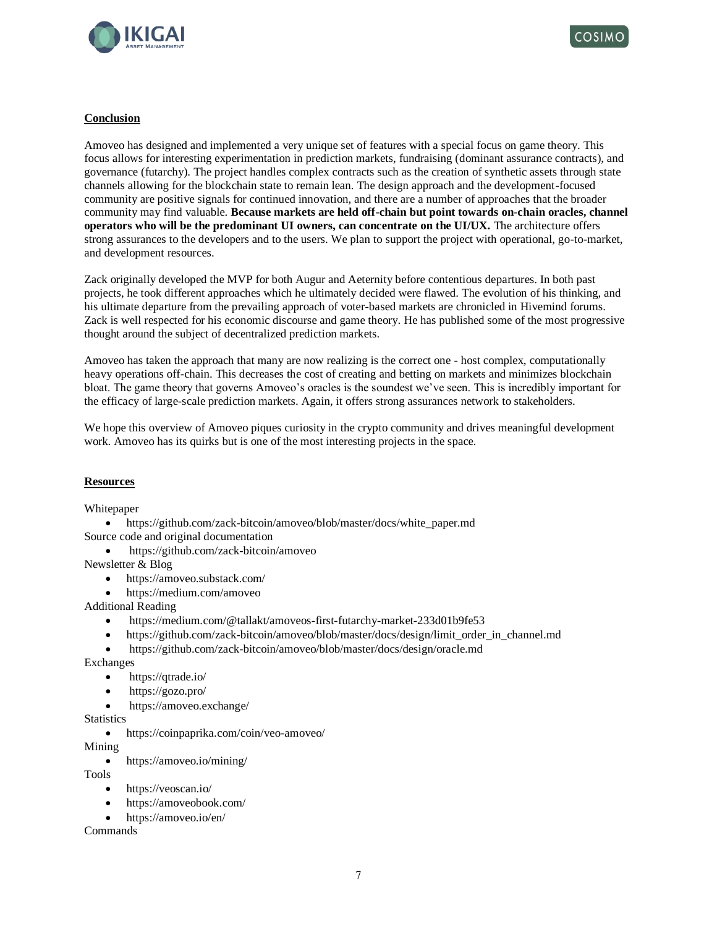



## **Conclusion**

Amoveo has designed and implemented a very unique set of features with a special focus on game theory. This focus allows for interesting experimentation in prediction markets, fundraising (dominant assurance contracts), and governance (futarchy). The project handles complex contracts such as the creation of synthetic assets through state channels allowing for the blockchain state to remain lean. The design approach and the development-focused community are positive signals for continued innovation, and there are a number of approaches that the broader community may find valuable. **Because markets are held off-chain but point towards on-chain oracles, channel operators who will be the predominant UI owners, can concentrate on the UI/UX.** The architecture offers strong assurances to the developers and to the users. We plan to support the project with operational, go-to-market, and development resources.

Zack originally developed the MVP for both Augur and Aeternity before contentious departures. In both past projects, he took different approaches which he ultimately decided were flawed. The evolution of his thinking, and his ultimate departure from the prevailing approach of voter-based markets are chronicled in Hivemind forums. Zack is well respected for his economic discourse and game theory. He has published some of the most progressive thought around the subject of decentralized prediction markets.

Amoveo has taken the approach that many are now realizing is the correct one - host complex, computationally heavy operations off-chain. This decreases the cost of creating and betting on markets and minimizes blockchain bloat. The game theory that governs Amoveo's oracles is the soundest we've seen. This is incredibly important for the efficacy of large-scale prediction markets. Again, it offers strong assurances network to stakeholders.

We hope this overview of Amoveo piques curiosity in the crypto community and drives meaningful development work. Amoveo has its quirks but is one of the most interesting projects in the space.

### **Resources**

Whitepaper

- [https://github.com/zack-bitcoin/amoveo/blob/master/docs/white\\_paper.md](https://github.com/zack-bitcoin/amoveo/blob/master/docs/white_paper.md)
- Source code and original documentation
	- <https://github.com/zack-bitcoin/amoveo>

Newsletter & Blog

- <https://amoveo.substack.com/>
- <https://medium.com/amoveo>

Additional Reading

- <https://medium.com/@tallakt/amoveos-first-futarchy-market-233d01b9fe53>
- [https://github.com/zack-bitcoin/amoveo/blob/master/docs/design/limit\\_order\\_in\\_channel.md](https://github.com/zack-bitcoin/amoveo/blob/master/docs/design/limit_order_in_channel.md)
- <https://github.com/zack-bitcoin/amoveo/blob/master/docs/design/oracle.md>

Exchanges

- <https://qtrade.io/>
- <https://gozo.pro/>
- <https://amoveo.exchange/>

**Statistics** 

• <https://coinpaprika.com/coin/veo-amoveo/>

Mining

• <https://amoveo.io/mining/>

Tools

- <https://veoscan.io/>
- <https://amoveobook.com/>
- <https://amoveo.io/en/>

Commands